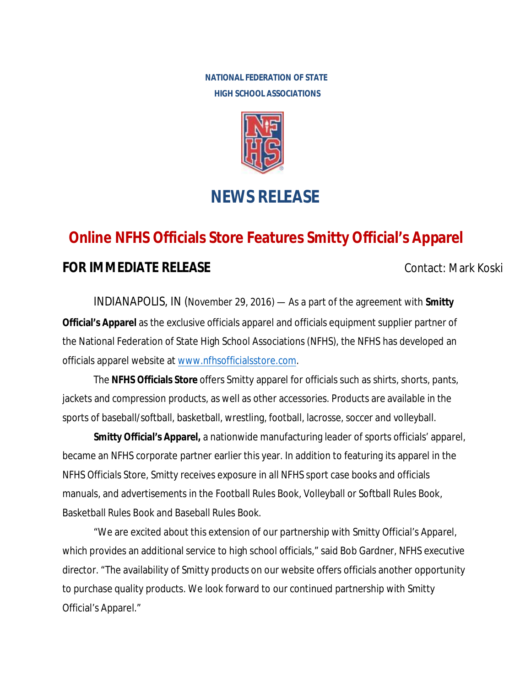**NATIONAL FEDERATION OF STATE HIGH SCHOOL ASSOCIATIONS** 



## **NEWS RELEASE**

## **Online NFHS Officials Store Features Smitty Official's Apparel**

## **FOR IMMEDIATE RELEASE CONTACT SEXUAL CONTACT: Mark Koski**

INDIANAPOLIS, IN (November 29, 2016) — As a part of the agreement with **Smitty Official's Apparel** as the exclusive officials apparel and officials equipment supplier partner of the National Federation of State High School Associations (NFHS), the NFHS has developed an officials apparel website at www.nfhsofficialsstore.com.

The **NFHS Officials Store** offers Smitty apparel for officials such as shirts, shorts, pants, jackets and compression products, as well as other accessories. Products are available in the sports of baseball/softball, basketball, wrestling, football, lacrosse, soccer and volleyball.

**Smitty Official's Apparel,** a nationwide manufacturing leader of sports officials' apparel, became an NFHS corporate partner earlier this year. In addition to featuring its apparel in the NFHS Officials Store, Smitty receives exposure in all NFHS sport case books and officials manuals, and advertisements in the Football Rules Book, Volleyball or Softball Rules Book, Basketball Rules Book and Baseball Rules Book.

"We are excited about this extension of our partnership with Smitty Official's Apparel, which provides an additional service to high school officials," said Bob Gardner, NFHS executive director. "The availability of Smitty products on our website offers officials another opportunity to purchase quality products. We look forward to our continued partnership with Smitty Official's Apparel."